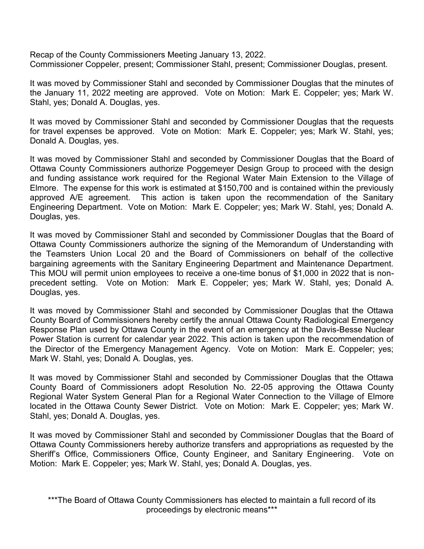Recap of the County Commissioners Meeting January 13, 2022. Commissioner Coppeler, present; Commissioner Stahl, present; Commissioner Douglas, present.

It was moved by Commissioner Stahl and seconded by Commissioner Douglas that the minutes of the January 11, 2022 meeting are approved. Vote on Motion: Mark E. Coppeler; yes; Mark W. Stahl, yes; Donald A. Douglas, yes.

It was moved by Commissioner Stahl and seconded by Commissioner Douglas that the requests for travel expenses be approved. Vote on Motion: Mark E. Coppeler; yes; Mark W. Stahl, yes; Donald A. Douglas, yes.

It was moved by Commissioner Stahl and seconded by Commissioner Douglas that the Board of Ottawa County Commissioners authorize Poggemeyer Design Group to proceed with the design and funding assistance work required for the Regional Water Main Extension to the Village of Elmore. The expense for this work is estimated at \$150,700 and is contained within the previously approved A/E agreement. This action is taken upon the recommendation of the Sanitary Engineering Department. Vote on Motion: Mark E. Coppeler; yes; Mark W. Stahl, yes; Donald A. Douglas, yes.

It was moved by Commissioner Stahl and seconded by Commissioner Douglas that the Board of Ottawa County Commissioners authorize the signing of the Memorandum of Understanding with the Teamsters Union Local 20 and the Board of Commissioners on behalf of the collective bargaining agreements with the Sanitary Engineering Department and Maintenance Department. This MOU will permit union employees to receive a one-time bonus of \$1,000 in 2022 that is nonprecedent setting. Vote on Motion: Mark E. Coppeler; yes; Mark W. Stahl, yes; Donald A. Douglas, yes.

It was moved by Commissioner Stahl and seconded by Commissioner Douglas that the Ottawa County Board of Commissioners hereby certify the annual Ottawa County Radiological Emergency Response Plan used by Ottawa County in the event of an emergency at the Davis-Besse Nuclear Power Station is current for calendar year 2022. This action is taken upon the recommendation of the Director of the Emergency Management Agency. Vote on Motion: Mark E. Coppeler; yes; Mark W. Stahl, yes; Donald A. Douglas, yes.

It was moved by Commissioner Stahl and seconded by Commissioner Douglas that the Ottawa County Board of Commissioners adopt Resolution No. 22-05 approving the Ottawa County Regional Water System General Plan for a Regional Water Connection to the Village of Elmore located in the Ottawa County Sewer District. Vote on Motion: Mark E. Coppeler; yes; Mark W. Stahl, yes; Donald A. Douglas, yes.

It was moved by Commissioner Stahl and seconded by Commissioner Douglas that the Board of Ottawa County Commissioners hereby authorize transfers and appropriations as requested by the Sheriff's Office, Commissioners Office, County Engineer, and Sanitary Engineering. Vote on Motion: Mark E. Coppeler; yes; Mark W. Stahl, yes; Donald A. Douglas, yes.

\*\*\*The Board of Ottawa County Commissioners has elected to maintain a full record of its proceedings by electronic means\*\*\*